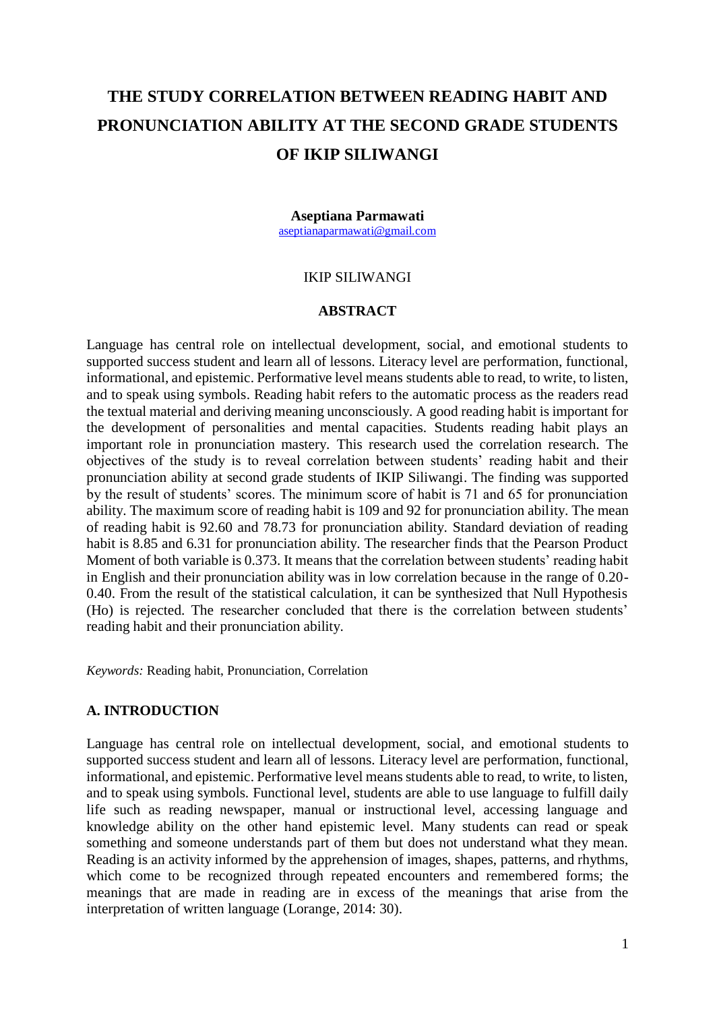# **THE STUDY CORRELATION BETWEEN READING HABIT AND PRONUNCIATION ABILITY AT THE SECOND GRADE STUDENTS OF IKIP SILIWANGI**

#### **Aseptiana Parmawati**

[aseptianaparmawati@gmail.com](mailto:aseptianaparmawati@gmail.com)

## IKIP SILIWANGI

#### **ABSTRACT**

Language has central role on intellectual development, social, and emotional students to supported success student and learn all of lessons. Literacy level are performation, functional, informational, and epistemic. Performative level means students able to read, to write, to listen, and to speak using symbols. Reading habit refers to the automatic process as the readers read the textual material and deriving meaning unconsciously. A good reading habit is important for the development of personalities and mental capacities. Students reading habit plays an important role in pronunciation mastery. This research used the correlation research. The objectives of the study is to reveal correlation between students' reading habit and their pronunciation ability at second grade students of IKIP Siliwangi. The finding was supported by the result of students' scores. The minimum score of habit is 71 and 65 for pronunciation ability. The maximum score of reading habit is 109 and 92 for pronunciation ability. The mean of reading habit is 92.60 and 78.73 for pronunciation ability. Standard deviation of reading habit is 8.85 and 6.31 for pronunciation ability. The researcher finds that the Pearson Product Moment of both variable is 0.373. It means that the correlation between students' reading habit in English and their pronunciation ability was in low correlation because in the range of 0.20- 0.40. From the result of the statistical calculation, it can be synthesized that Null Hypothesis (Ho) is rejected. The researcher concluded that there is the correlation between students' reading habit and their pronunciation ability.

*Keywords:* Reading habit, Pronunciation, Correlation

#### **A. INTRODUCTION**

Language has central role on intellectual development, social, and emotional students to supported success student and learn all of lessons. Literacy level are performation, functional, informational, and epistemic. Performative level means students able to read, to write, to listen, and to speak using symbols. Functional level, students are able to use language to fulfill daily life such as reading newspaper, manual or instructional level, accessing language and knowledge ability on the other hand epistemic level. Many students can read or speak something and someone understands part of them but does not understand what they mean. Reading is an activity informed by the apprehension of images, shapes, patterns, and rhythms, which come to be recognized through repeated encounters and remembered forms; the meanings that are made in reading are in excess of the meanings that arise from the interpretation of written language (Lorange, 2014: 30).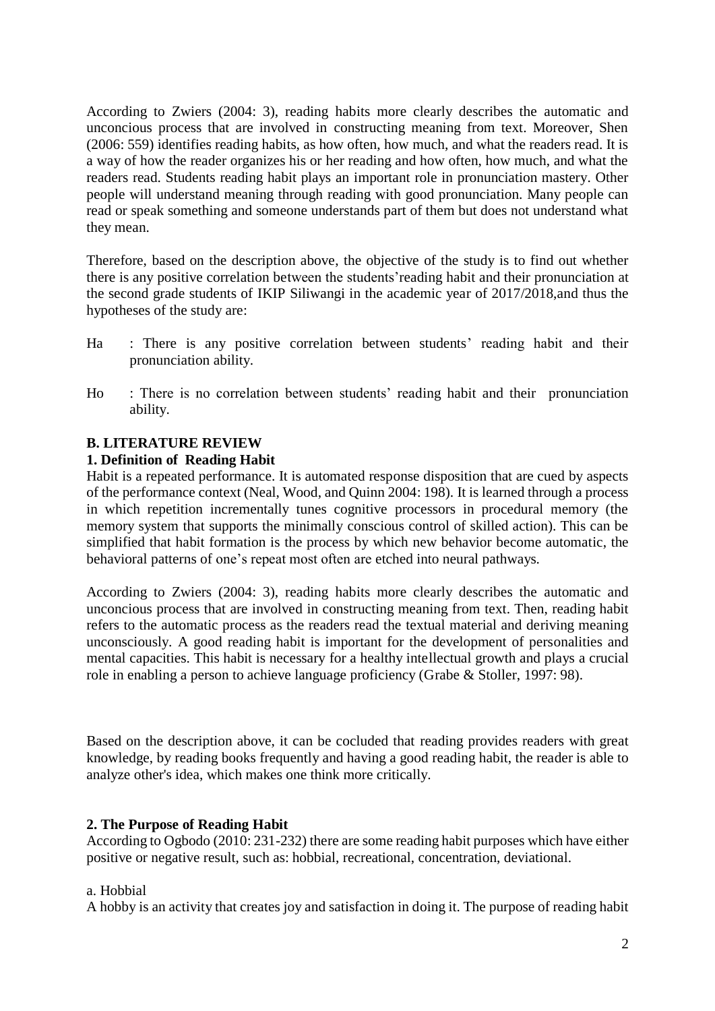According to Zwiers (2004: 3), reading habits more clearly describes the automatic and unconcious process that are involved in constructing meaning from text. Moreover, Shen (2006: 559) identifies reading habits, as how often, how much, and what the readers read. It is a way of how the reader organizes his or her reading and how often, how much, and what the readers read. Students reading habit plays an important role in pronunciation mastery. Other people will understand meaning through reading with good pronunciation. Many people can read or speak something and someone understands part of them but does not understand what they mean.

Therefore, based on the description above, the objective of the study is to find out whether there is any positive correlation between the students'reading habit and their pronunciation at the second grade students of IKIP Siliwangi in the academic year of 2017/2018,and thus the hypotheses of the study are:

- Ha : There is any positive correlation between students' reading habit and their pronunciation ability.
- Ho : There is no correlation between students' reading habit and their pronunciation ability.

## **B. LITERATURE REVIEW**

#### **1. Definition of Reading Habit**

Habit is a repeated performance. It is automated response disposition that are cued by aspects of the performance context (Neal, Wood, and Quinn 2004: 198). It is learned through a process in which repetition incrementally tunes cognitive processors in procedural memory (the memory system that supports the minimally conscious control of skilled action). This can be simplified that habit formation is the process by which new behavior become automatic, the behavioral patterns of one's repeat most often are etched into neural pathways.

According to Zwiers (2004: 3), reading habits more clearly describes the automatic and unconcious process that are involved in constructing meaning from text. Then, reading habit refers to the automatic process as the readers read the textual material and deriving meaning unconsciously. A good reading habit is important for the development of personalities and mental capacities. This habit is necessary for a healthy intellectual growth and plays a crucial role in enabling a person to achieve language proficiency (Grabe & Stoller, 1997: 98).

Based on the description above, it can be cocluded that reading provides readers with great knowledge, by reading books frequently and having a good reading habit, the reader is able to analyze other's idea, which makes one think more critically.

#### **2. The Purpose of Reading Habit**

According to Ogbodo (2010: 231-232) there are some reading habit purposes which have either positive or negative result, such as: hobbial, recreational, concentration, deviational.

#### a. Hobbial

A hobby is an activity that creates joy and satisfaction in doing it. The purpose of reading habit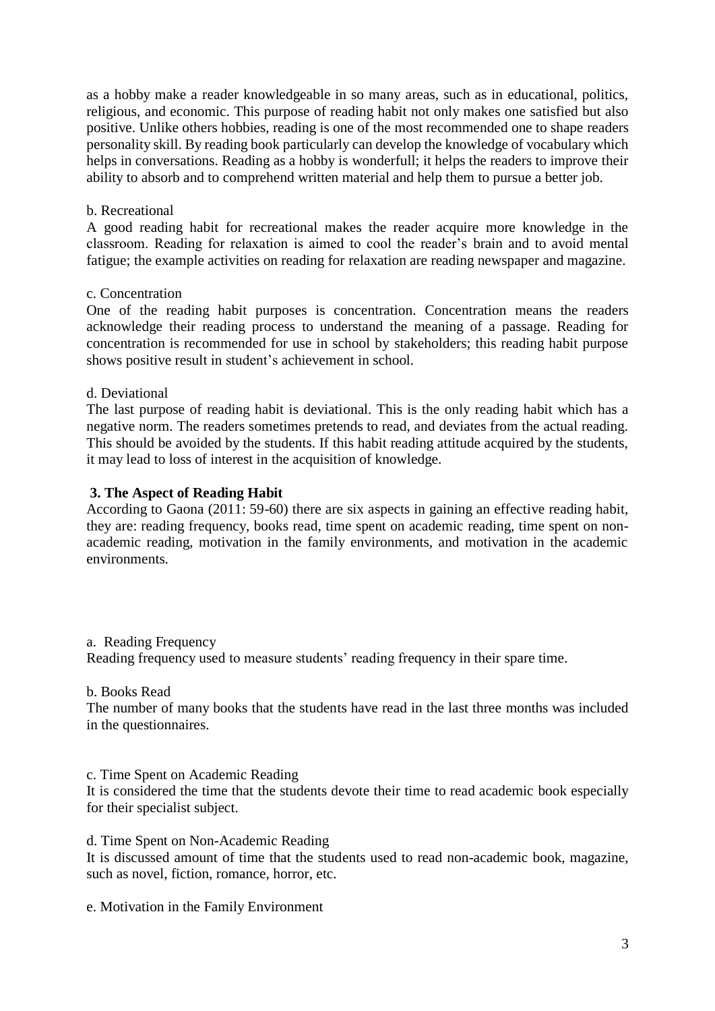as a hobby make a reader knowledgeable in so many areas, such as in educational, politics, religious, and economic. This purpose of reading habit not only makes one satisfied but also positive. Unlike others hobbies, reading is one of the most recommended one to shape readers personality skill. By reading book particularly can develop the knowledge of vocabulary which helps in conversations. Reading as a hobby is wonderfull; it helps the readers to improve their ability to absorb and to comprehend written material and help them to pursue a better job.

## b. Recreational

A good reading habit for recreational makes the reader acquire more knowledge in the classroom. Reading for relaxation is aimed to cool the reader's brain and to avoid mental fatigue; the example activities on reading for relaxation are reading newspaper and magazine.

#### c. Concentration

One of the reading habit purposes is concentration. Concentration means the readers acknowledge their reading process to understand the meaning of a passage. Reading for concentration is recommended for use in school by stakeholders; this reading habit purpose shows positive result in student's achievement in school.

## d. Deviational

The last purpose of reading habit is deviational. This is the only reading habit which has a negative norm. The readers sometimes pretends to read, and deviates from the actual reading. This should be avoided by the students. If this habit reading attitude acquired by the students, it may lead to loss of interest in the acquisition of knowledge.

## **3. The Aspect of Reading Habit**

According to Gaona (2011: 59-60) there are six aspects in gaining an effective reading habit, they are: reading frequency, books read, time spent on academic reading, time spent on nonacademic reading, motivation in the family environments, and motivation in the academic environments.

a. Reading Frequency

Reading frequency used to measure students' reading frequency in their spare time.

#### b. Books Read

The number of many books that the students have read in the last three months was included in the questionnaires.

#### c. Time Spent on Academic Reading

It is considered the time that the students devote their time to read academic book especially for their specialist subject.

d. Time Spent on Non-Academic Reading

It is discussed amount of time that the students used to read non-academic book, magazine, such as novel, fiction, romance, horror, etc.

e. Motivation in the Family Environment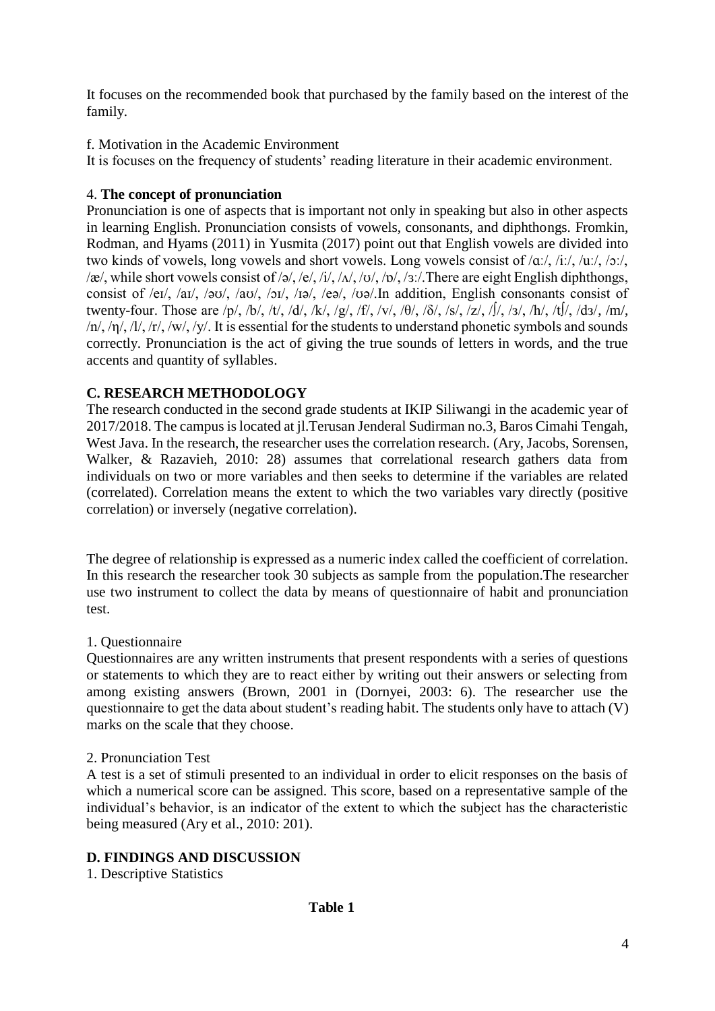It focuses on the recommended book that purchased by the family based on the interest of the family.

f. Motivation in the Academic Environment

It is focuses on the frequency of students' reading literature in their academic environment.

# 4. **The concept of pronunciation**

Pronunciation is one of aspects that is important not only in speaking but also in other aspects in learning English. Pronunciation consists of vowels, consonants, and diphthongs. Fromkin, Rodman, and Hyams (2011) in Yusmita (2017) point out that English vowels are divided into two kinds of vowels, long vowels and short vowels. Long vowels consist of /ɑː/, /iː/, /uː/, /ɔː/, /æ/, while short vowels consist of /ə/, /e/, /i/, / $\Delta$ /, /ʊ/, / $\Delta$ /, /ɜː/.There are eight English diphthongs, consist of /eɪ/, /aɪ/, /əʊ/, /aʊ/, /ɔɪ/, /ɪə/, /eə/, /ʊə/.In addition, English consonants consist of twenty-four. Those are /p/, /b/, /t/, /d/, /k/, /g/, /f/, /v/, / $\theta$ /, / $\delta$ /, /s/,  $\sqrt{z}$ /, / $\int$ /, / $\int$ /, /t $\int$ /, /dз/, /m/, /n/, /η/, /l/, /r/, /w/, /y/. It is essential for the students to understand phonetic symbols and sounds correctly. Pronunciation is the act of giving the true sounds of letters in words, and the true accents and quantity of syllables.

# **C. RESEARCH METHODOLOGY**

The research conducted in the second grade students at IKIP Siliwangi in the academic year of 2017/2018. The campus is located at jl.Terusan Jenderal Sudirman no.3, Baros Cimahi Tengah, West Java. In the research, the researcher uses the correlation research. (Ary, Jacobs, Sorensen, Walker, & Razavieh, 2010: 28) assumes that correlational research gathers data from individuals on two or more variables and then seeks to determine if the variables are related (correlated). Correlation means the extent to which the two variables vary directly (positive correlation) or inversely (negative correlation).

The degree of relationship is expressed as a numeric index called the coefficient of correlation. In this research the researcher took 30 subjects as sample from the population.The researcher use two instrument to collect the data by means of questionnaire of habit and pronunciation test.

# 1. Questionnaire

Questionnaires are any written instruments that present respondents with a series of questions or statements to which they are to react either by writing out their answers or selecting from among existing answers (Brown, 2001 in (Dornyei, 2003: 6). The researcher use the questionnaire to get the data about student's reading habit. The students only have to attach (V) marks on the scale that they choose.

## 2. Pronunciation Test

A test is a set of stimuli presented to an individual in order to elicit responses on the basis of which a numerical score can be assigned. This score, based on a representative sample of the individual's behavior, is an indicator of the extent to which the subject has the characteristic being measured (Ary et al., 2010: 201).

# **D. FINDINGS AND DISCUSSION**

1. Descriptive Statistics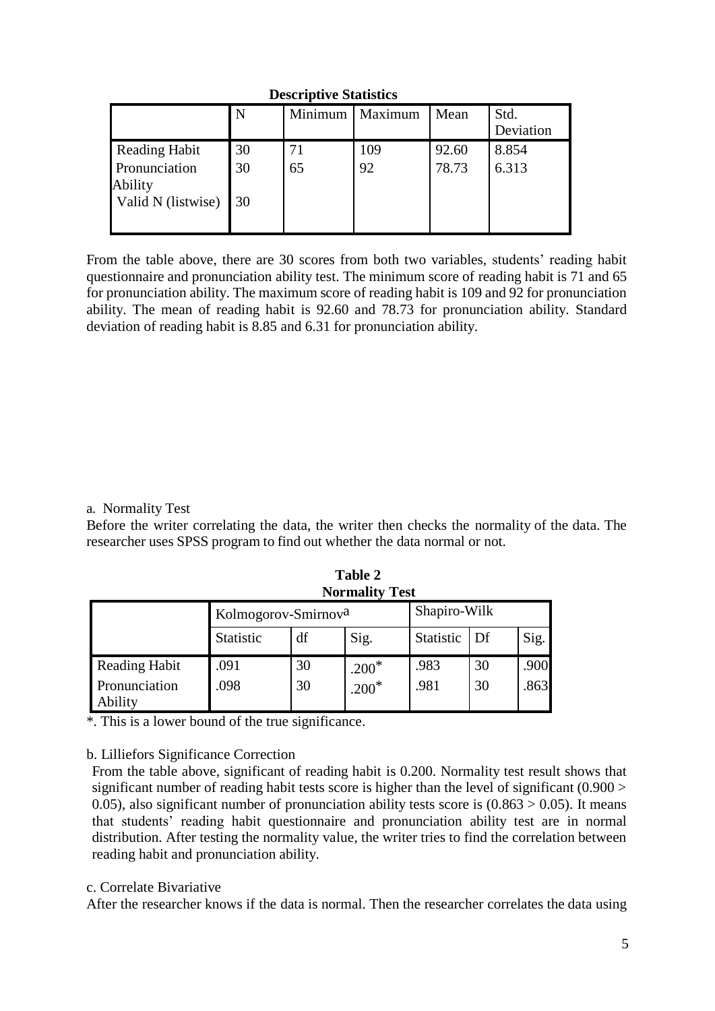## **Descriptive Statistics**

|                          | N  | Minimum | Maximum | Mean  | Std.<br>Deviation |
|--------------------------|----|---------|---------|-------|-------------------|
| <b>Reading Habit</b>     | 30 | 71      | 109     | 92.60 | 8.854             |
| Pronunciation<br>Ability | 30 | 65      | 92      | 78.73 | 6.313             |
| Valid N (listwise)       | 30 |         |         |       |                   |

From the table above, there are 30 scores from both two variables, students' reading habit questionnaire and pronunciation ability test. The minimum score of reading habit is 71 and 65 for pronunciation ability. The maximum score of reading habit is 109 and 92 for pronunciation ability. The mean of reading habit is 92.60 and 78.73 for pronunciation ability. Standard deviation of reading habit is 8.85 and 6.31 for pronunciation ability.

## a. Normality Test

Before the writer correlating the data, the writer then checks the normality of the data. The researcher uses SPSS program to find out whether the data normal or not.

| <b>Normality Test</b>    |                                 |    |         |              |    |      |  |  |
|--------------------------|---------------------------------|----|---------|--------------|----|------|--|--|
|                          | Kolmogorov-Smirnov <sup>a</sup> |    |         | Shapiro-Wilk |    |      |  |  |
|                          | Statistic                       | df | Sig.    | Statistic    | Df | Sig. |  |  |
| <b>Reading Habit</b>     | .091                            | 30 | $.200*$ | .983         | 30 | .900 |  |  |
| Pronunciation<br>Ability | .098                            | 30 | $.200*$ | .981         | 30 | .863 |  |  |

 **Table 2** 

\*. This is a lower bound of the true significance.

#### b. Lilliefors Significance Correction

From the table above, significant of reading habit is 0.200. Normality test result shows that significant number of reading habit tests score is higher than the level of significant (0.900 > 0.05), also significant number of pronunciation ability tests score is  $(0.863 > 0.05)$ . It means that students' reading habit questionnaire and pronunciation ability test are in normal distribution. After testing the normality value, the writer tries to find the correlation between reading habit and pronunciation ability.

#### c. Correlate Bivariative

After the researcher knows if the data is normal. Then the researcher correlates the data using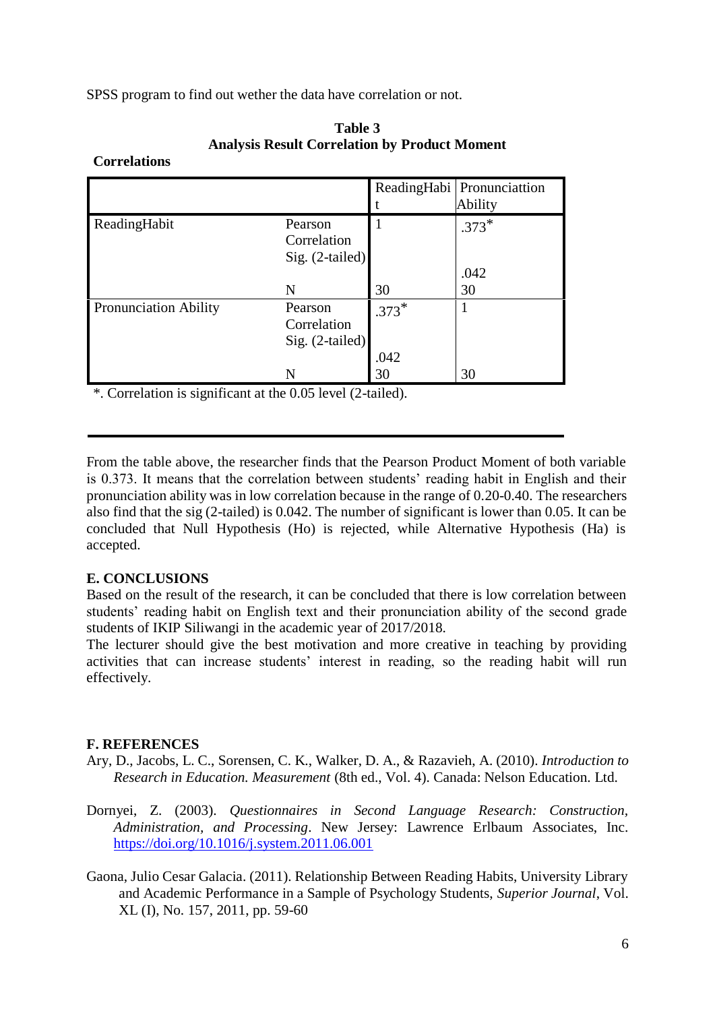SPSS program to find out wether the data have correlation or not.

|                              |                 |         | ReadingHabi Pronunciattion |
|------------------------------|-----------------|---------|----------------------------|
|                              |                 |         | Ability                    |
| ReadingHabit                 | Pearson         |         | $.373*$                    |
|                              | Correlation     |         |                            |
|                              | Sig. (2-tailed) |         |                            |
|                              |                 |         | .042                       |
|                              | N               | 30      | 30                         |
| <b>Pronunciation Ability</b> | Pearson         | $.373*$ |                            |
|                              | Correlation     |         |                            |
|                              | Sig. (2-tailed) |         |                            |
|                              |                 | .042    |                            |
|                              | N               | 30      | 30                         |

**Table 3 Analysis Result Correlation by Product Moment**

\*. Correlation is significant at the 0.05 level (2-tailed).

From the table above, the researcher finds that the Pearson Product Moment of both variable is 0.373. It means that the correlation between students' reading habit in English and their pronunciation ability was in low correlation because in the range of 0.20-0.40. The researchers also find that the sig (2-tailed) is 0.042. The number of significant is lower than 0.05. It can be concluded that Null Hypothesis (Ho) is rejected, while Alternative Hypothesis (Ha) is accepted.

## **E. CONCLUSIONS**

**Correlations**

Based on the result of the research, it can be concluded that there is low correlation between students' reading habit on English text and their pronunciation ability of the second grade students of IKIP Siliwangi in the academic year of 2017/2018.

The lecturer should give the best motivation and more creative in teaching by providing activities that can increase students' interest in reading, so the reading habit will run effectively.

## **F. REFERENCES**

- Ary, D., Jacobs, L. C., Sorensen, C. K., Walker, D. A., & Razavieh, A. (2010). *Introduction to Research in Education. Measurement* (8th ed., Vol. 4). Canada: Nelson Education. Ltd.
- Dornyei, Z. (2003). *Questionnaires in Second Language Research: Construction, Administration, and Processing*. New Jersey: Lawrence Erlbaum Associates, Inc. <https://doi.org/10.1016/j.system.2011.06.001>
- Gaona, Julio Cesar Galacia. (2011). Relationship Between Reading Habits, University Library and Academic Performance in a Sample of Psychology Students, *Superior Journal*, Vol. XL (I), No. 157, 2011, pp. 59-60